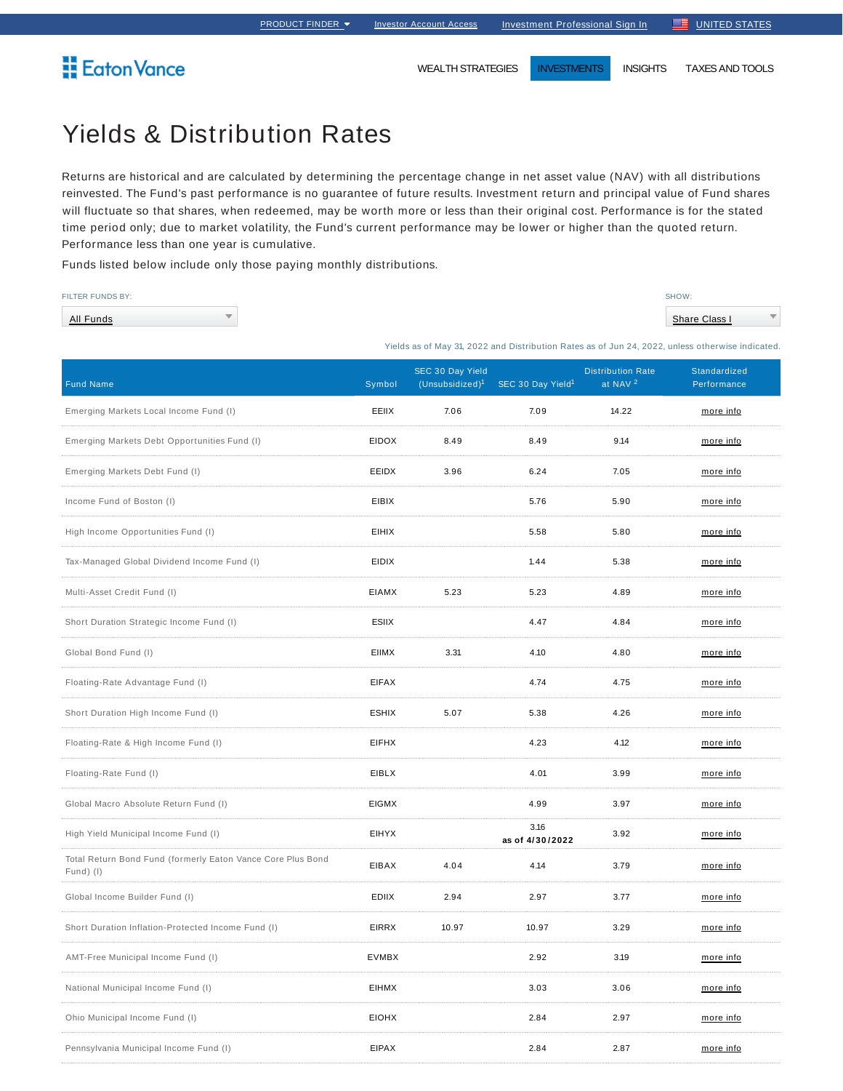**Eaton Vance** 

WEALTH STRATEGIES **INVESTMENTS** INSIGHTS TAXES AND TOOLS

## Yields & Distribution Rates

Returns are historical and are calculated by determining the percentage change in net asset value (NAV) with all distributions reinvested. The Fund's past performance is no guarantee of future results. Investment return and principal value of Fund shares will fluctuate so that shares, when redeemed, may be worth more or less than their original cost. Performance is for the stated time period only; due to market volatility, the Fund's current performance may be lower or higher than the quoted return. Performance less than one year is cumulative.

Funds listed below include only those paying monthly distributions.

| <b>FILTER FUNDS BY:</b> | SHOW:         |
|-------------------------|---------------|
| $\equiv$<br>All Funds   | Share Class I |

Yields as of May 31, 2022 and Distribution Rates as of Jun 24, 2022, unless otherwise indicated.

| <b>Fund Name</b>                                                         | Symbol       | SEC 30 Day Yield<br>(Unsubsidized) <sup>1</sup> | SEC 30 Day Yield <sup>1</sup> | <b>Distribution Rate</b><br>at NAV <sup>2</sup> | Standardized<br>Performance |
|--------------------------------------------------------------------------|--------------|-------------------------------------------------|-------------------------------|-------------------------------------------------|-----------------------------|
| Emerging Markets Local Income Fund (I)                                   | EEIIX        | 7.06                                            | 7.09                          | 14.22                                           | more info                   |
| Emerging Markets Debt Opportunities Fund (I)                             | <b>EIDOX</b> | 8.49                                            | 8.49                          | 9.14                                            | more info                   |
| Emerging Markets Debt Fund (I)                                           | EEIDX        | 3.96                                            | 6.24                          | 7.05                                            | more info                   |
| Income Fund of Boston (I)                                                | <b>EIBIX</b> |                                                 | 5.76                          | 5.90                                            | more info                   |
| High Income Opportunities Fund (I)                                       | <b>EIHIX</b> |                                                 | 5.58                          | 5.80                                            | more info                   |
| Tax-Managed Global Dividend Income Fund (I)                              | <b>EIDIX</b> |                                                 | 1.44                          | 5.38                                            | more info                   |
| Multi-Asset Credit Fund (I)                                              | <b>EIAMX</b> | 5.23                                            | 5.23                          | 4.89                                            | more info                   |
| Short Duration Strategic Income Fund (I)                                 | ESIIX        |                                                 | 4.47                          | 4.84                                            | more info                   |
| Global Bond Fund (I)                                                     | <b>EIIMX</b> | 3.31                                            | 4.10                          | 4.80                                            | more info                   |
| Floating-Rate Advantage Fund (I)                                         | <b>EIFAX</b> |                                                 | 4.74                          | 4.75                                            | more info                   |
| Short Duration High Income Fund (I)                                      | <b>ESHIX</b> | 5.07                                            | 5.38                          | 4.26                                            | more info                   |
| Floating-Rate & High Income Fund (I)                                     | <b>EIFHX</b> |                                                 | 4.23                          | 4.12                                            | more info                   |
| Floating-Rate Fund (I)                                                   | EIBLX        |                                                 | 4.01                          | 3.99                                            | more info                   |
| Global Macro Absolute Return Fund (I)                                    | <b>EIGMX</b> |                                                 | 4.99                          | 3.97                                            | more info                   |
| High Yield Municipal Income Fund (I)                                     | <b>EIHYX</b> |                                                 | 3.16<br>as of 4/30/2022       | 3.92                                            | more info                   |
| Total Return Bond Fund (formerly Eaton Vance Core Plus Bond<br>Fund) (I) | EIBAX        | 4.04                                            | 4.14                          | 3.79                                            | more info                   |
| Global Income Builder Fund (I)                                           | <b>EDIIX</b> | 2.94                                            | 2.97                          | 3.77                                            | more info                   |
| Short Duration Inflation-Protected Income Fund (I)                       | <b>EIRRX</b> | 10.97                                           | 10.97                         | 3.29                                            | more info                   |
| AMT-Free Municipal Income Fund (I)                                       | <b>EVMBX</b> |                                                 | 2.92                          | 3.19                                            | more info                   |
| National Municipal Income Fund (I)                                       | <b>EIHMX</b> |                                                 | 3.03                          | 3.06                                            | more info                   |
| Ohio Municipal Income Fund (I)                                           | <b>EIOHX</b> |                                                 | 2.84                          | 2.97                                            | more info                   |
| Pennsylvania Municipal Income Fund (I)                                   | <b>EIPAX</b> |                                                 | 2.84                          | 2.87                                            | more info                   |
|                                                                          |              |                                                 |                               |                                                 |                             |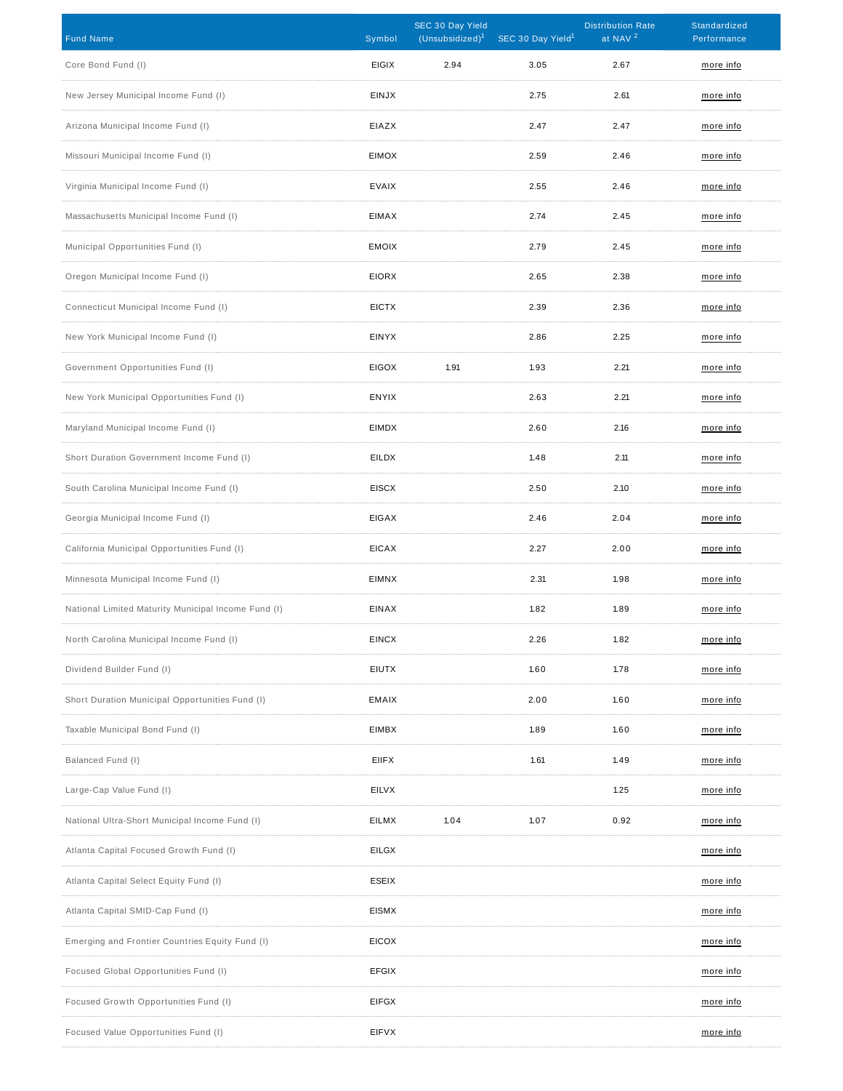| <b>Fund Name</b>                                    | Symbol       | SEC 30 Day Yield<br>(Unsubsidized) <sup>1</sup> | SEC 30 Day Yield <sup>1</sup> | <b>Distribution Rate</b><br>at NAV <sup>2</sup> | Standardized<br>Performance |
|-----------------------------------------------------|--------------|-------------------------------------------------|-------------------------------|-------------------------------------------------|-----------------------------|
| Core Bond Fund (I)                                  | <b>EIGIX</b> | 2.94                                            | 3.05                          | 2.67                                            | more info                   |
| New Jersey Municipal Income Fund (I)                | <b>EINJX</b> |                                                 | 2.75                          | 2.61                                            | more info                   |
| Arizona Municipal Income Fund (I)                   | EIAZX        |                                                 | 2.47                          | 2.47                                            | more info                   |
| Missouri Municipal Income Fund (I)                  | <b>EIMOX</b> |                                                 | 2.59                          | 2.46                                            | more info                   |
| Virginia Municipal Income Fund (I)                  | <b>EVAIX</b> |                                                 | 2.55                          | 2.46                                            | more info                   |
| Massachusetts Municipal Income Fund (I)             | EIMAX        |                                                 | 2.74                          | 2.45                                            | more info                   |
| Municipal Opportunities Fund (I)                    | <b>EMOIX</b> |                                                 | 2.79                          | 2.45                                            | more info                   |
| Oregon Municipal Income Fund (I)                    | <b>EIORX</b> |                                                 | 2.65                          | 2.38                                            | more info                   |
| Connecticut Municipal Income Fund (I)               | <b>EICTX</b> |                                                 | 2.39                          | 2.36                                            | more info                   |
| New York Municipal Income Fund (I)                  | <b>EINYX</b> |                                                 | 2.86                          | 2.25                                            | more info                   |
| Government Opportunities Fund (I)                   | <b>EIGOX</b> | 1.91                                            | 1.93                          | 2.21                                            | more info                   |
| New York Municipal Opportunities Fund (I)           | <b>ENYIX</b> |                                                 | 2.63                          | 2.21                                            | more info                   |
| Maryland Municipal Income Fund (I)                  | EIMDX        |                                                 | 2.60                          | 2.16                                            | more info                   |
| Short Duration Government Income Fund (I)           | <b>EILDX</b> |                                                 | 1.48                          | 2.11                                            | more info                   |
| South Carolina Municipal Income Fund (I)            | <b>EISCX</b> |                                                 | 2.50                          | 2.10                                            | more info                   |
| Georgia Municipal Income Fund (I)                   | <b>EIGAX</b> |                                                 | 2.46                          | 2.04                                            | more info                   |
| California Municipal Opportunities Fund (I)         | <b>EICAX</b> |                                                 | 2.27                          | 2.00                                            | more info                   |
| Minnesota Municipal Income Fund (I)                 | <b>EIMNX</b> |                                                 | 2.31                          | 1.98                                            | more info                   |
| National Limited Maturity Municipal Income Fund (I) | EINAX        |                                                 | 1.82                          | 1.89                                            | more info                   |
| North Carolina Municipal Income Fund (I)            | <b>EINCX</b> |                                                 | 2.26                          | 1.82                                            | <u>more info</u>            |
| Dividend Builder Fund (I)                           | <b>EIUTX</b> |                                                 | 1.60                          | 1.78                                            | more info                   |
| Short Duration Municipal Opportunities Fund (I)     | EMAIX        |                                                 | 2.00                          | 1.60                                            | more info                   |
| Taxable Municipal Bond Fund (I)                     | EIMBX        |                                                 | 1.89                          | 1.60                                            | more info                   |
| Balanced Fund (I)                                   | <b>EIIFX</b> |                                                 | 1.61                          | 1.49                                            | more info                   |
| Large-Cap Value Fund (I)                            | <b>EILVX</b> |                                                 |                               | 1.25                                            | more info                   |
| National Ultra-Short Municipal Income Fund (I)      | <b>EILMX</b> | 1.04                                            | 1.07                          | 0.92                                            | more info                   |
| Atlanta Capital Focused Growth Fund (I)             | <b>EILGX</b> |                                                 |                               |                                                 | more info                   |
| Atlanta Capital Select Equity Fund (I)              | <b>ESEIX</b> |                                                 |                               |                                                 | more info                   |
| Atlanta Capital SMID-Cap Fund (I)                   | <b>EISMX</b> |                                                 |                               |                                                 | more info                   |
| Emerging and Frontier Countries Equity Fund (I)     | <b>EICOX</b> |                                                 |                               |                                                 | more info                   |
| Focused Global Opportunities Fund (I)               | <b>EFGIX</b> |                                                 |                               |                                                 | more info                   |
| Focused Growth Opportunities Fund (I)               | EIFGX        |                                                 |                               |                                                 | more info                   |
| Focused Value Opportunities Fund (I)                | <b>EIFVX</b> |                                                 |                               |                                                 | more info                   |
|                                                     |              |                                                 |                               |                                                 |                             |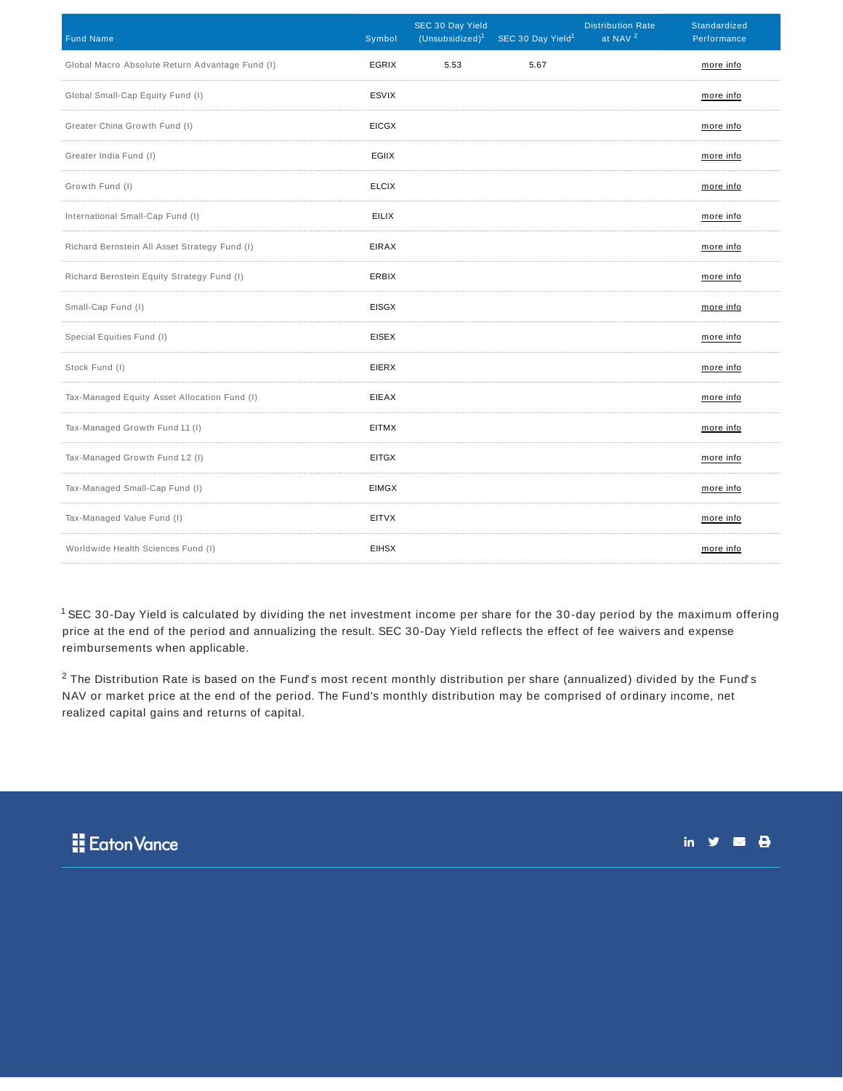| <b>Fund Name</b>                                | Symbol       | SEC 30 Day Yield<br>(Unsubsidized) <sup>1</sup> | SEC 30 Day Yield <sup>1</sup> | <b>Distribution Rate</b><br>at NAV <sup>2</sup> | Standardized<br>Performance |
|-------------------------------------------------|--------------|-------------------------------------------------|-------------------------------|-------------------------------------------------|-----------------------------|
| Global Macro Absolute Return Advantage Fund (I) | EGRIX        | 5.53                                            | 5.67                          |                                                 | more info                   |
| Global Small-Cap Equity Fund (I)                | <b>ESVIX</b> |                                                 |                               |                                                 | more info                   |
| Greater China Growth Fund (I)                   | <b>EICGX</b> |                                                 |                               |                                                 | more info                   |
| Greater India Fund (I)                          | EGIIX        |                                                 |                               |                                                 | more info                   |
| Growth Fund (I)                                 | <b>ELCIX</b> |                                                 |                               |                                                 | more info                   |
| International Small-Cap Fund (I)                | <b>EILIX</b> |                                                 |                               |                                                 | more info                   |
| Richard Bernstein All Asset Strategy Fund (I)   | <b>EIRAX</b> |                                                 |                               |                                                 | more info                   |
| Richard Bernstein Equity Strategy Fund (I)      | <b>ERBIX</b> |                                                 |                               |                                                 | more info                   |
| Small-Cap Fund (I)                              | <b>EISGX</b> |                                                 |                               |                                                 | more info                   |
| Special Equities Fund (I)                       | <b>EISEX</b> |                                                 |                               |                                                 | more info                   |
| Stock Fund (I)                                  | <b>EIERX</b> |                                                 |                               |                                                 | more info                   |
| Tax-Managed Equity Asset Allocation Fund (I)    | <b>EIEAX</b> |                                                 |                               |                                                 | more info                   |
| Tax-Managed Growth Fund 1.1 (I)                 | <b>EITMX</b> |                                                 |                               |                                                 | more info                   |
| Tax-Managed Growth Fund 1.2 (I)                 | <b>EITGX</b> |                                                 |                               |                                                 | more info                   |
| Tax-Managed Small-Cap Fund (I)                  | <b>EIMGX</b> |                                                 |                               |                                                 | more info                   |
| Tax-Managed Value Fund (I)                      | EITVX        |                                                 |                               |                                                 | more info                   |
| Worldwide Health Sciences Fund (I)              | <b>EIHSX</b> |                                                 |                               |                                                 | more info                   |

 $1$  SEC 30-Day Yield is calculated by dividing the net investment income per share for the 30-day period by the maximum offering price at the end of the period and annualizing the result. SEC 30-Day Yield reflects the effect of fee waivers and expense reimbursements when applicable.

 $^2$  The Distribution Rate is based on the Fund's most recent monthly distribution per share (annualized) divided by the Fund's NAV or market price at the end of the period. The Fund's monthly distribution may be comprised of ordinary income, net realized capital gains and returns of capital.



in  $y = 0$